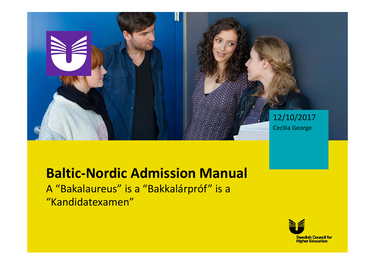

### **Baltic‐Nordic Admission Manual**

A "Bakalaureus" is <sup>a</sup> "Bakkalárpróf" is <sup>a</sup> "Kandidatexamen"

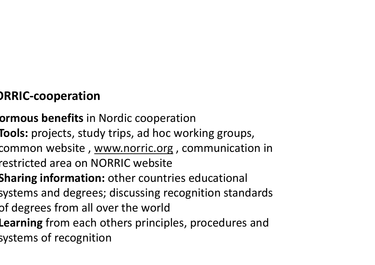# **ORRIC‐cooperation**

- **ormous benefits** in Nordic cooperation
- **Tools:** projects, study trips, ad hoc working groups,
- common website , <u>www.norric.org</u> , communication in
- restricted area on NORRIC website
- **Sharing information:** other countries educational
- systems and degrees; discussing recognition standards
- of degrees from all over the world
- **Learning** from each others principles, procedures and systems of recognition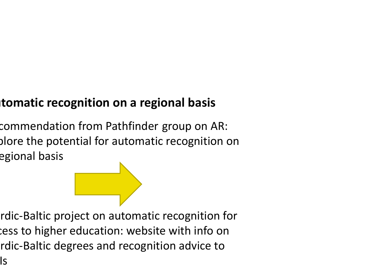## **utomatic recognition on <sup>a</sup> regional basis**

commendation from Pathfinder group on AR: plore the potential for automatic recognition on egional basis



Is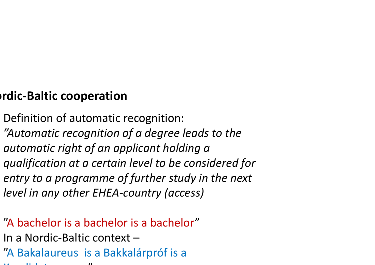### **ordic‐Baltic cooperation**

- Definition of automatic recognition:
- *"Automatic recognition of <sup>a</sup> degree leads to the*
- *automatic right of an applicant holding <sup>a</sup>*
- *qualification at <sup>a</sup> certain level to be considered for entry to <sup>a</sup> programme of further study in the next*
- *level in any other EHEA‐country (access)*
- "A bachelor is <sup>a</sup> bachelor is <sup>a</sup> bachelor" In <sup>a</sup> Nordic‐Baltic context – "A Bakalaureus is <sup>a</sup> Bakkalárpróf is <sup>a</sup>
- k dia kaominina mpikambanya kaominina amin'ny fivondronan-kaominin "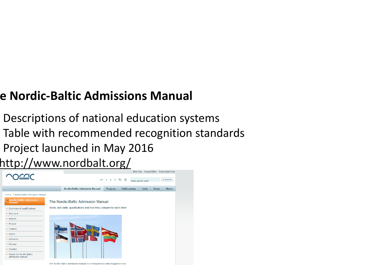### **e Nordic‐Baltic Admissions Manual**

- Descriptions of national education systems
- Table with recommended recognition standards
- Project launched in May 2016

http://www.nordbalt.org/



The Nordic-Baltic admission manual is a transparency and recognition too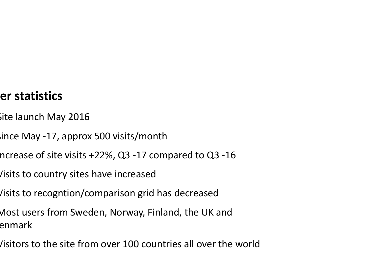#### **er statistics**

- Site launch May 2016
- since May ‐17, approx 500 visits/month
- ncrease of site visits +22%, Q3 ‐17 compared to Q3 ‐16
- Visits to country sites have increased
- Visits to recogntion/comparison grid has decreased
- Most users from Sweden, Norway, Finland, the UK and enmark
- Visitors to the site from over 100 countries all over the world